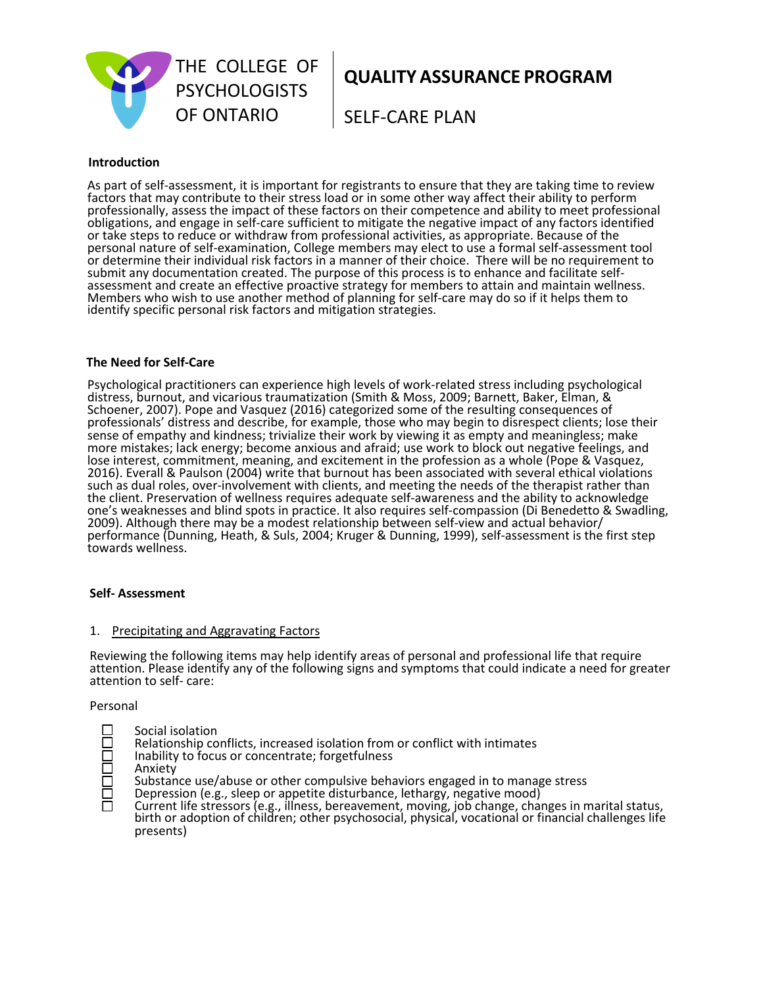

**QUALITY ASSURANCE PROGRAM**

SELF-CARE PLAN

### **Introduction**

As part of self-assessment, it is important for registrants to ensure that they are taking time to review factors that may contribute to their stress load or in some other way affect their ability to perform professionally, assess the impact of these factors on their competence and ability to meet professional obligations, and engage in self-care sufficient to mitigate the negative impact of any factors identified or take steps to reduce or withdraw from professional activities, as appropriate. Because of the personal nature of self-examination, College members may elect to use a formal self-assessment tool or determine their individual risk factors in a manner of their choice. There will be no requirement to submit any documentation created. The purpose of this process is to enhance and facilitate selfassessment and create an effective proactive strategy for members to attain and maintain wellness. Members who wish to use another method of planning for self-care may do so if it helps them to identify specific personal risk factors and mitigation strategies.

#### **The Need for Self-Care**

Psychological practitioners can experience high levels of work-related stress including psychological distress, burnout, and vicarious traumatization (Smith & Moss, 2009; Barnett, Baker, Elman, & Schoener, 2007). Pope and Vasquez (2016) categorized some of the resulting consequences of professionals' distress and describe, for example, those who may begin to disrespect clients; lose their sense of empathy and kindness; trivialize their work by viewing it as empty and meaningless; make more mistakes; lack energy; become anxious and afraid; use work to block out negative feelings, and lose interest, commitment, meaning, and excitement in the profession as a whole (Pope & Vasquez, 2016). Everall & Paulson (2004) write that burnout has been associated with several ethical violations such as dual roles, over-involvement with clients, and meeting the needs of the therapist rather than the client. Preservation of wellness requires adequate self-awareness and the ability to acknowledge one's weaknesses and blind spots in practice. It also requires self-compassion (Di Benedetto & Swadling, 2009). Although there may be a modest relationship between self-view and actual behavior/ performance (Dunning, Heath, & Suls, 2004; Kruger & Dunning, 1999), self-assessment is the first step towards wellness.

#### **Self- Assessment**

#### 1. Precipitating and Aggravating Factors

Reviewing the following items may help identify areas of personal and professional life that require attention. Please identify any of the following signs and symptoms that could indicate a need for greater attention to self- care:

#### Personal

- $\square$  Social isolation<br> $\square$  Relationship co
	-
- Inability to focus or concentrate; forgetfulness
- Anxiety
- <table>\n<tbody>\n<tr>\n<th>□ Relationship conflicts, increased isolation from or conflict with intimates<br/>Inability to focus or concentrate; forgetfulness</th>\n</tr>\n<tr>\n<td>□ Anxiety<br/>Substance use/abuse or other compulsive behaviors engaged in to mana<br/>Depression (e.g., sleep or appetite disturbance, lethargy, negative mood)</td>\n</tr>\n</tbody>\n</table> Substance use/abuse or other compulsive behaviors engaged in to manage stress
	- Depression (e.g., sleep or appetite disturbance, lethargy, negative mood)
	- Current life stressors (e.g., illness, bereavement, moving, job change, changes in marital status, birth or adoption of children; other psychosocial, physical, vocational or financial challenges life presents)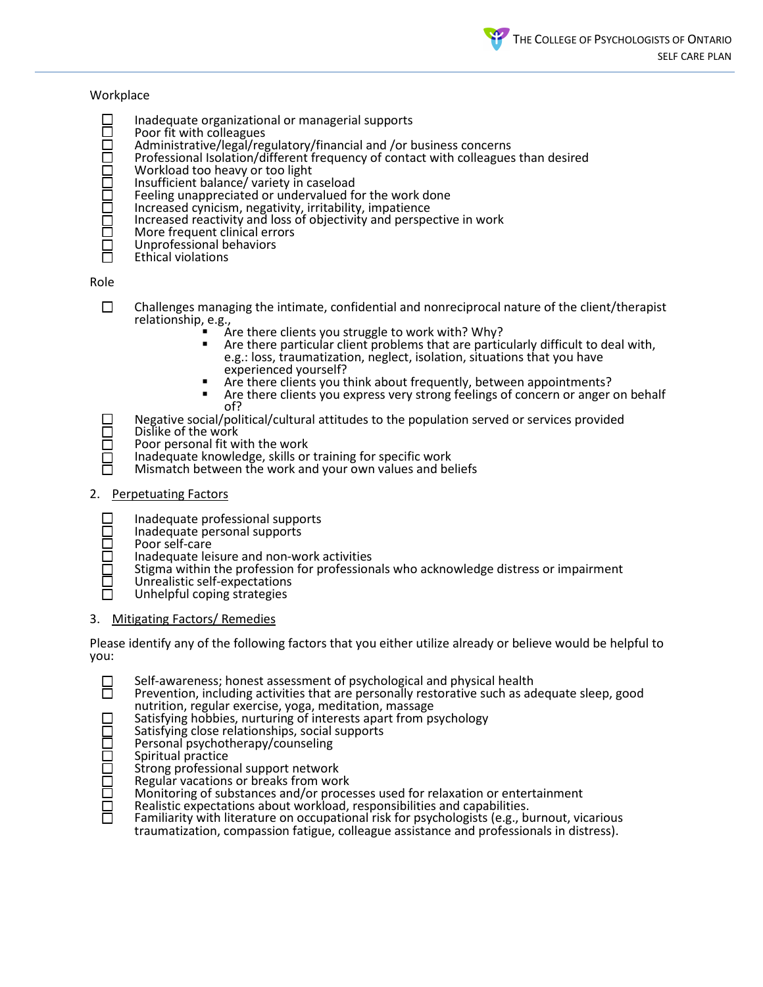### **Workplace**

- 
- Poor fit with colleagues
- Administrative/legal/regulatory/financial and /or business concerns
- Inadequate organizational or managerial supports<br>
Poor fit with colleagues<br>
Administrative/legal/regulatory/financial and /or b<br>
Professional Isolation/different frequency of conta<br>
Workload too heavy or too light<br>
Insuff Professional Isolation/different frequency of contact with colleagues than desired
	- Workload too heavy or too light
	- Insufficient balance/ variety in caseload
	- Feeling unappreciated or undervalued for the work done
	- Increased cynicism, negativity, irritability, impatience
	- Increased reactivity and loss of objectivity and perspective in work
- $\square$  More frequent clinical errors<br> $\square$  Unprofessional behaviors
- Unprofessional behaviors
- Ethical violations

Role

- $\square$  Challenges managing the intimate, confidential and nonreciprocal nature of the client/therapist relationship, e.g.,
	-
	- **Thelation Steps** clients you struggle to work with? Why? **Are there clients you struggle vith**<br>**There there particular client problems that are particularly difficult to deal with,** e.g.: loss, traumatization, neglect, isolation, situations that you have
	- Are there clients you think about frequently, between appointments?<br> Are there clients you express very strong feelings of concern or anger on behalf
	- of?
- $\square$  Negative social/political/cultural attitudes to the population served or services provided  $\square$  Dislike of the work
- $\square$  Dislike of the work<br> $\square$  Poor personal fit w
	- Poor personal fit with the work
	- Inadequate knowledge, skills or training for specific work
	- Mismatch between the work and your own values and beliefs

# 2. Perpetuating Factors

- 
- $\square$  Inadequate professional supports<br> $\square$  Inadequate personal supports<br> $\square$  Poor self-care Inadequate personal supports
	- Poor self-care
- $\square$  Inadequate leisure and non-work activities  $\square$  Stigma within the profession for profession
- $\square$  Stigma within the profession for professionals who acknowledge distress or impairment  $\square$  Unrealistic self-expectations
	- Unrealistic self-expectations
	- Unhelpful coping strategies

# 3. Mitigating Factors/ Remedies

Please identify any of the following factors that you either utilize already or believe would be helpful to you:

- 
- $\square$  Self-awareness; honest assessment of psychological and physical health  $\square$  Prevention, including activities that are personally restorative such as ac Prevention, including activities that are personally restorative such as adequate sleep, good nutrition, regular exercise, yoga, meditation, massage
	- Satisfying hobbies, nurturing of interests apart from psychology
	- Satisfying close relationships, social supports
- Personal psychotherapy/counseling
- Spiritual practice
- Strong professional support network
- Regular vacations or breaks from work
- Monitoring of substances and/or processes used for relaxation or entertainment
- Realistic expectations about workload, responsibilities and capabilities.
- Familiarity with literature on occupational risk for psychologists (e.g., burnout, vicarious traumatization, compassion fatigue, colleague assistance and professionals in distress).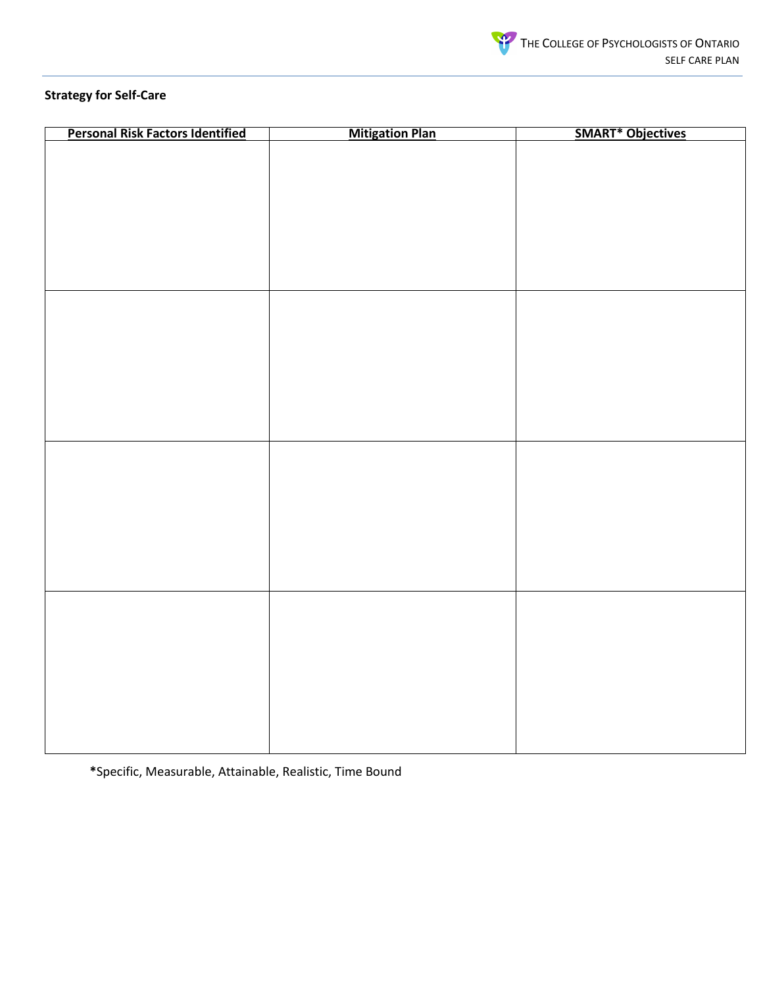

# **Strategy for Self-Care**

| <b>Personal Risk Factors Identified</b> | <b>Mitigation Plan</b> | <b>SMART* Objectives</b> |
|-----------------------------------------|------------------------|--------------------------|
|                                         |                        |                          |
|                                         |                        |                          |
|                                         |                        |                          |
|                                         |                        |                          |
|                                         |                        |                          |
|                                         |                        |                          |
|                                         |                        |                          |
|                                         |                        |                          |
|                                         |                        |                          |
|                                         |                        |                          |
|                                         |                        |                          |
|                                         |                        |                          |
|                                         |                        |                          |
|                                         |                        |                          |
|                                         |                        |                          |
|                                         |                        |                          |
|                                         |                        |                          |
|                                         |                        |                          |
|                                         |                        |                          |
|                                         |                        |                          |
|                                         |                        |                          |
|                                         |                        |                          |
|                                         |                        |                          |
|                                         |                        |                          |
|                                         |                        |                          |
|                                         |                        |                          |
|                                         |                        |                          |
|                                         |                        |                          |
|                                         |                        |                          |
|                                         |                        |                          |
|                                         |                        |                          |
|                                         |                        |                          |
|                                         |                        |                          |
|                                         |                        |                          |
|                                         |                        |                          |
|                                         |                        |                          |

**\***Specific, Measurable, Attainable, Realistic, Time Bound